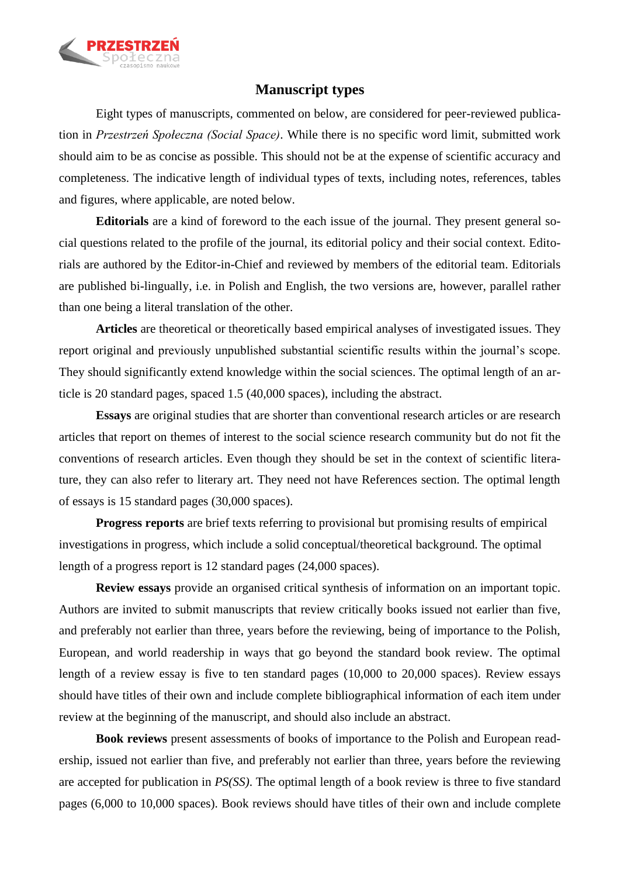

## **Manuscript types**

Eight types of manuscripts, commented on below, are considered for peer-reviewed publication in *Przestrzeń Społeczna (Social Space)*. While there is no specific word limit, submitted work should aim to be as concise as possible. This should not be at the expense of scientific accuracy and completeness. The indicative length of individual types of texts, including notes, references, tables and figures, where applicable, are noted below.

**Editorials** are a kind of foreword to the each issue of the journal. They present general social questions related to the profile of the journal, its editorial policy and their social context. Editorials are authored by the Editor-in-Chief and reviewed by members of the editorial team. Editorials are published bi-lingually, i.e. in Polish and English, the two versions are, however, parallel rather than one being a literal translation of the other.

**Articles** are theoretical or theoretically based empirical analyses of investigated issues. They report original and previously unpublished substantial scientific results within the journal's scope. They should significantly extend knowledge within the social sciences. The optimal length of an article is 20 standard pages, spaced 1.5 (40,000 spaces), including the abstract.

**Essays** are original studies that are shorter than conventional research articles or are research articles that report on themes of interest to the social science research community but do not fit the conventions of research articles. Even though they should be set in the context of scientific literature, they can also refer to literary art. They need not have References section. The optimal length of essays is 15 standard pages (30,000 spaces).

**Progress reports** are brief texts referring to provisional but promising results of empirical investigations in progress, which include a solid conceptual/theoretical background. The optimal length of a progress report is 12 standard pages (24,000 spaces).

**Review essays** provide an organised critical synthesis of information on an important topic. Authors are invited to submit manuscripts that review critically books issued not earlier than five, and preferably not earlier than three, years before the reviewing, being of importance to the Polish, European, and world readership in ways that go beyond the standard book review. The optimal length of a review essay is five to ten standard pages (10,000 to 20,000 spaces). Review essays should have titles of their own and include complete bibliographical information of each item under review at the beginning of the manuscript, and should also include an abstract.

**Book reviews** present assessments of books of importance to the Polish and European readership, issued not earlier than five, and preferably not earlier than three, years before the reviewing are accepted for publication in *PS(SS)*. The optimal length of a book review is three to five standard pages (6,000 to 10,000 spaces). Book reviews should have titles of their own and include complete